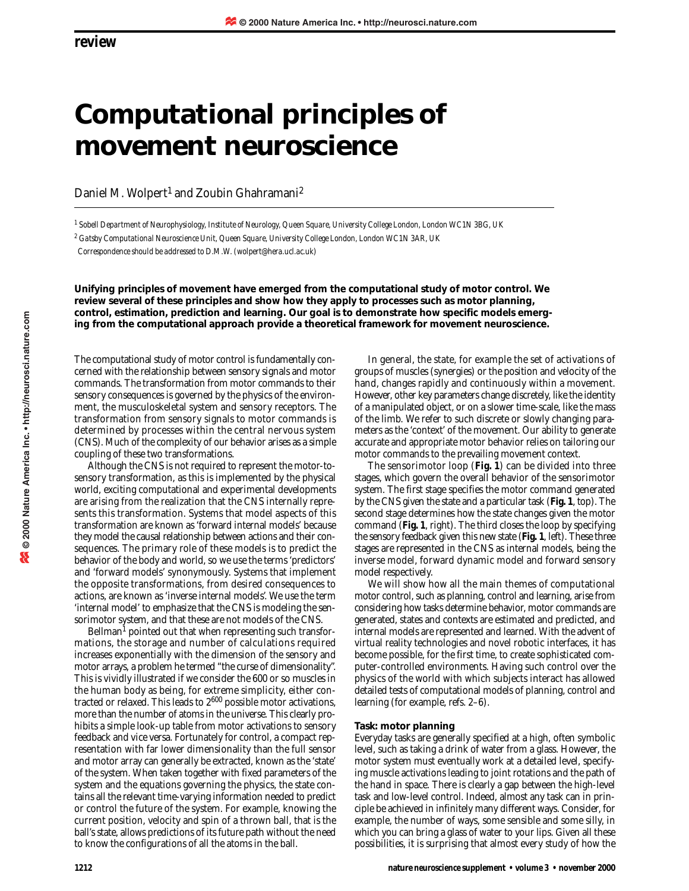# **Computational principles of movement neuroscience**

Daniel M. Wolpert<sup>1</sup> and Zoubin Ghahramani<sup>2</sup>

*<sup>1</sup> Sobell Department of Neurophysiology, Institute of Neurology, Queen Square, University College London, London WC1N 3BG, UK* 

*<sup>2</sup> Gatsby Computational Neuroscience Unit, Queen Square, University College London, London WC1N 3AR, UK*

*Correspondence should be addressed to D.M.W. (wolpert@hera.ucl.ac.uk)*

**Unifying principles of movement have emerged from the computational study of motor control. We review several of these principles and show how they apply to processes such as motor planning, control, estimation, prediction and learning. Our goal is to demonstrate how specific models emerging from the computational approach provide a theoretical framework for movement neuroscience.**

The computational study of motor control is fundamentally concerned with the relationship between sensory signals and motor commands. The transformation from motor commands to their sensory consequences is governed by the physics of the environment, the musculoskeletal system and sensory receptors. The transformation from sensory signals to motor commands is determined by processes within the central nervous system (CNS). Much of the complexity of our behavior arises as a simple coupling of these two transformations.

Although the CNS is not required to represent the motor-tosensory transformation, as this is implemented by the physical world, exciting computational and experimental developments are arising from the realization that the CNS internally represents this transformation. Systems that model aspects of this transformation are known as 'forward internal models' because they model the causal relationship between actions and their consequences. The primary role of these models is to predict the behavior of the body and world, so we use the terms 'predictors' and 'forward models' synonymously. Systems that implement the opposite transformations, from desired consequences to actions, are known as 'inverse internal models'. We use the term 'internal model' to emphasize that the CNS is modeling the sensorimotor system, and that these are not models of the CNS.

Bellman<sup>1</sup> pointed out that when representing such transformations, the storage and number of calculations required increases exponentially with the dimension of the sensory and motor arrays, a problem he termed "the curse of dimensionality". This is vividly illustrated if we consider the 600 or so muscles in the human body as being, for extreme simplicity, either contracted or relaxed. This leads to 2<sup>600</sup> possible motor activations, more than the number of atoms in the universe. This clearly prohibits a simple look-up table from motor activations to sensory feedback and vice versa. Fortunately for control, a compact representation with far lower dimensionality than the full sensor and motor array can generally be extracted, known as the 'state' of the system. When taken together with fixed parameters of the system and the equations governing the physics, the state contains all the relevant time-varying information needed to predict or control the future of the system. For example, knowing the current position, velocity and spin of a thrown ball, that is the ball's state, allows predictions of its future path without the need to know the configurations of all the atoms in the ball.

In general, the state, for example the set of activations of groups of muscles (synergies) or the position and velocity of the hand, changes rapidly and continuously within a movement. However, other key parameters change discretely, like the identity of a manipulated object, or on a slower time-scale, like the mass of the limb. We refer to such discrete or slowly changing parameters as the 'context' of the movement. Our ability to generate accurate and appropriate motor behavior relies on tailoring our motor commands to the prevailing movement context.

The sensorimotor loop (**Fig. 1**) can be divided into three stages, which govern the overall behavior of the sensorimotor system. The first stage specifies the motor command generated by the CNS given the state and a particular task (**Fig. 1**, top). The second stage determines how the state changes given the motor command (**Fig. 1**, right). The third closes the loop by specifying the sensory feedback given this new state (**Fig. 1**, left). These three stages are represented in the CNS as internal models, being the inverse model, forward dynamic model and forward sensory model respectively.

We will show how all the main themes of computational motor control, such as planning, control and learning, arise from considering how tasks determine behavior, motor commands are generated, states and contexts are estimated and predicted, and internal models are represented and learned. With the advent of virtual reality technologies and novel robotic interfaces, it has become possible, for the first time, to create sophisticated computer-controlled environments. Having such control over the physics of the world with which subjects interact has allowed detailed tests of computational models of planning, control and learning (for example, refs. 2–6).

#### **Task: motor planning**

Everyday tasks are generally specified at a high, often symbolic level, such as taking a drink of water from a glass. However, the motor system must eventually work at a detailed level, specifying muscle activations leading to joint rotations and the path of the hand in space. There is clearly a gap between the high-level task and low-level control. Indeed, almost any task can in principle be achieved in infinitely many different ways. Consider, for example, the number of ways, some sensible and some silly, in which you can bring a glass of water to your lips. Given all these possibilities, it is surprising that almost every study of how the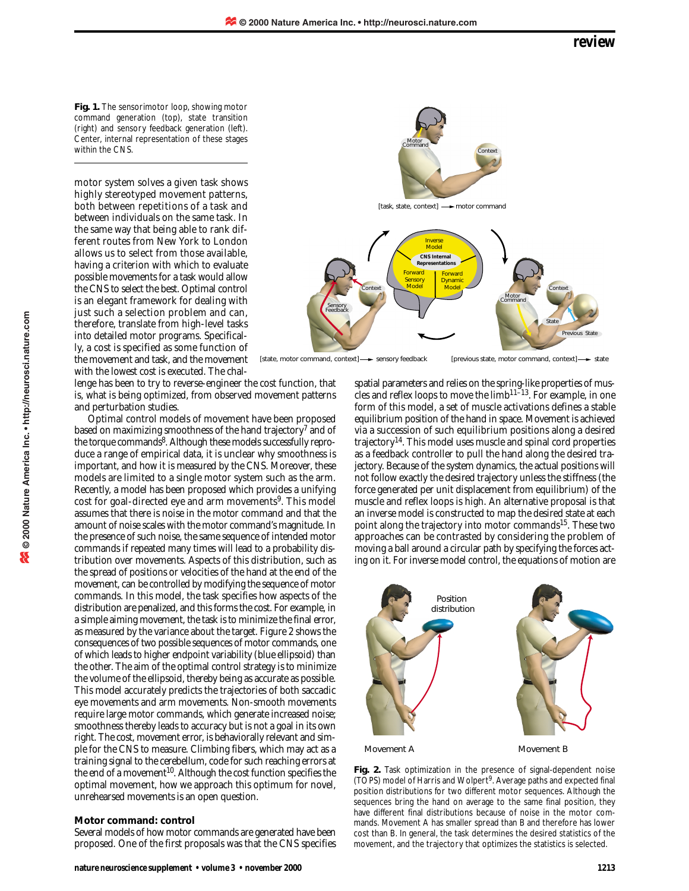**Fig. 1.** The sensorimotor loop, showing motor command generation (top), state transition (right) and sensory feedback generation (left). Center, internal representation of these stages within the CNS.

motor system solves a given task shows highly stereotyped movement patterns, both between repetitions of a task and between individuals on the same task. In the same way that being able to rank different routes from New York to London allows us to select from those available, having a criterion with which to evaluate possible movements for a task would allow the CNS to select the best. Optimal control is an elegant framework for dealing with just such a selection problem and can, therefore, translate from high-level tasks into detailed motor programs. Specifically, a cost is specified as some function of the movement and task, and the movement with the lowest cost is executed. The chal-

lenge has been to try to reverse-engineer the cost function, that is, what is being optimized, from observed movement patterns and perturbation studies.

Optimal control models of movement have been proposed based on maximizing smoothness of the hand trajectory $\ell$  and of the torque commands<sup>8</sup>. Although these models successfully reproduce a range of empirical data, it is unclear why smoothness is important, and how it is measured by the CNS. Moreover, these models are limited to a single motor system such as the arm. Recently, a model has been proposed which provides a unifying cost for goal-directed eye and arm movements<sup>9</sup>. This model assumes that there is noise in the motor command and that the amount of noise scales with the motor command's magnitude. In the presence of such noise, the same sequence of intended motor commands if repeated many times will lead to a probability distribution over movements. Aspects of this distribution, such as the spread of positions or velocities of the hand at the end of the movement, can be controlled by modifying the sequence of motor commands. In this model, the task specifies how aspects of the distribution are penalized, and this forms the cost. For example, in a simple aiming movement, the task is to minimize the final error, as measured by the variance about the target. Figure 2 shows the consequences of two possible sequences of motor commands, one of which leads to higher endpoint variability (blue ellipsoid) than the other. The aim of the optimal control strategy is to minimize the volume of the ellipsoid, thereby being as accurate as possible. This model accurately predicts the trajectories of both saccadic eye movements and arm movements. Non-smooth movements require large motor commands, which generate increased noise; smoothness thereby leads to accuracy but is not a goal in its own right. The cost, movement error, is behaviorally relevant and simple for the CNS to measure. Climbing fibers, which may act as a training signal to the cerebellum, code for such reaching errors at the end of a movement<sup>10</sup>. Although the cost function specifies the optimal movement, how we approach this optimum for novel, unrehearsed movements is an open question.

## **Motor command: control**

Several models of how motor commands are generated have been proposed. One of the first proposals was that the CNS specifies



[state, motor command, context] - sensory feedback [previous state, motor command, context] - state

spatial parameters and relies on the spring-like properties of muscles and reflex loops to move the limb11–13. For example, in one form of this model, a set of muscle activations defines a stable equilibrium position of the hand in space. Movement is achieved via a succession of such equilibrium positions along a desired trajectory<sup>14</sup>. This model uses muscle and spinal cord properties as a feedback controller to pull the hand along the desired trajectory. Because of the system dynamics, the actual positions will not follow exactly the desired trajectory unless the stiffness (the force generated per unit displacement from equilibrium) of the muscle and reflex loops is high. An alternative proposal is that an inverse model is constructed to map the desired state at each point along the trajectory into motor commands<sup>15</sup>. These two approaches can be contrasted by considering the problem of moving a ball around a circular path by specifying the forces acting on it. For inverse model control, the equations of motion are



**Fig. 2.** Task optimization in the presence of signal-dependent noise (TOPS) model of Harris and Wolpert<sup>9</sup>. Average paths and expected final position distributions for two different motor sequences. Although the sequences bring the hand on average to the same final position, they have different final distributions because of noise in the motor commands. Movement A has smaller spread than B and therefore has lower cost than B. In general, the task determines the desired statistics of the movement, and the trajectory that optimizes the statistics is selected.

2000 Nature America Inc. . http://neurosci.nature.com **© 2000 Nature America Inc. • http://neurosci.nature.com**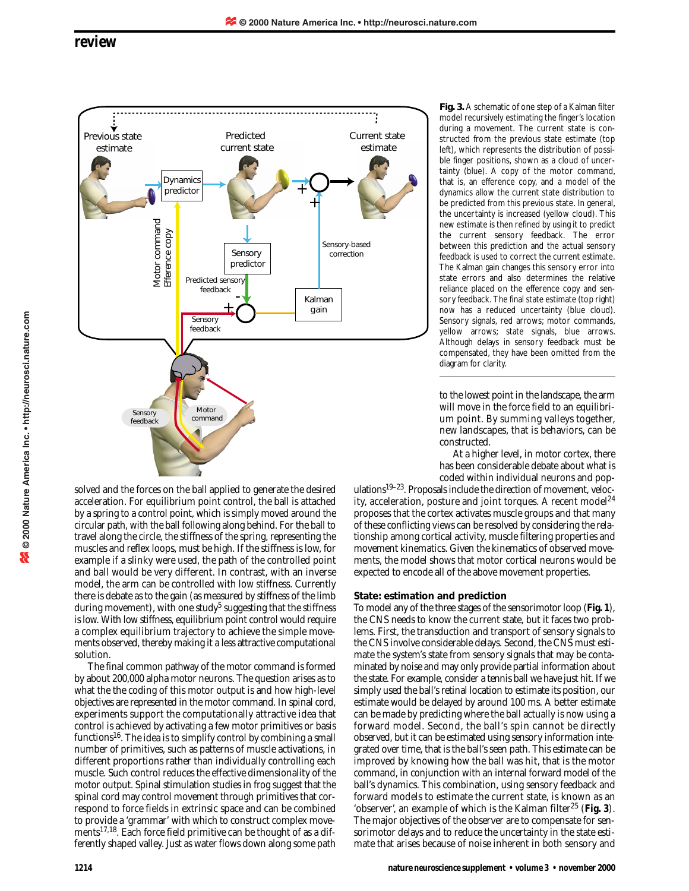

solved and the forces on the ball applied to generate the desired acceleration. For equilibrium point control, the ball is attached by a spring to a control point, which is simply moved around the circular path, with the ball following along behind. For the ball to travel along the circle, the stiffness of the spring, representing the muscles and reflex loops, must be high. If the stiffness is low, for example if a slinky were used, the path of the controlled point and ball would be very different. In contrast, with an inverse model, the arm can be controlled with low stiffness. Currently there is debate as to the gain (as measured by stiffness of the limb during movement), with one study<sup>5</sup> suggesting that the stiffness is low. With low stiffness, equilibrium point control would require a complex equilibrium trajectory to achieve the simple movements observed, thereby making it a less attractive computational solution.

The final common pathway of the motor command is formed by about 200,000 alpha motor neurons. The question arises as to what the the coding of this motor output is and how high-level objectives are represented in the motor command. In spinal cord, experiments support the computationally attractive idea that control is achieved by activating a few motor primitives or basis functions16. The idea is to simplify control by combining a small number of primitives, such as patterns of muscle activations, in different proportions rather than individually controlling each muscle. Such control reduces the effective dimensionality of the motor output. Spinal stimulation studies in frog suggest that the spinal cord may control movement through primitives that correspond to force fields in extrinsic space and can be combined to provide a 'grammar' with which to construct complex movements<sup>17,18</sup>. Each force field primitive can be thought of as a differently shaped valley. Just as water flows down along some path

**Fig. 3.** A schematic of one step of a Kalman filter model recursively estimating the finger's location during a movement. The current state is constructed from the previous state estimate (top left), which represents the distribution of possible finger positions, shown as a cloud of uncertainty (blue). A copy of the motor command, that is, an efference copy, and a model of the dynamics allow the current state distribution to be predicted from this previous state. In general, the uncertainty is increased (yellow cloud). This new estimate is then refined by using it to predict the current sensory feedback. The error between this prediction and the actual sensory feedback is used to correct the current estimate. The Kalman gain changes this sensory error into state errors and also determines the relative reliance placed on the efference copy and sensory feedback. The final state estimate (top right) now has a reduced uncertainty (blue cloud). Sensory signals, red arrows; motor commands, yellow arrows; state signals, blue arrows. Although delays in sensory feedback must be compensated, they have been omitted from the diagram for clarity.

to the lowest point in the landscape, the arm will move in the force field to an equilibrium point. By summing valleys together, new landscapes, that is behaviors, can be constructed.

At a higher level, in motor cortex, there has been considerable debate about what is coded within individual neurons and pop-

ulations19–23. Proposals include the direction of movement, velocity, acceleration, posture and joint torques. A recent model<sup>24</sup> proposes that the cortex activates muscle groups and that many of these conflicting views can be resolved by considering the relationship among cortical activity, muscle filtering properties and movement kinematics. Given the kinematics of observed movements, the model shows that motor cortical neurons would be expected to encode all of the above movement properties.

# **State: estimation and prediction**

To model any of the three stages of the sensorimotor loop (**Fig. 1**), the CNS needs to know the current state, but it faces two problems. First, the transduction and transport of sensory signals to the CNS involve considerable delays. Second, the CNS must estimate the system's state from sensory signals that may be contaminated by noise and may only provide partial information about the state. For example, consider a tennis ball we have just hit. If we simply used the ball's retinal location to estimate its position, our estimate would be delayed by around 100 ms. A better estimate can be made by predicting where the ball actually is now using a forward model. Second, the ball's spin cannot be directly observed, but it can be estimated using sensory information integrated over time, that is the ball's seen path. This estimate can be improved by knowing how the ball was hit, that is the motor command, in conjunction with an internal forward model of the ball's dynamics. This combination, using sensory feedback and forward models to estimate the current state, is known as an 'observer', an example of which is the Kalman filter<sup>25</sup> (**Fig. 3**). The major objectives of the observer are to compensate for sensorimotor delays and to reduce the uncertainty in the state estimate that arises because of noise inherent in both sensory and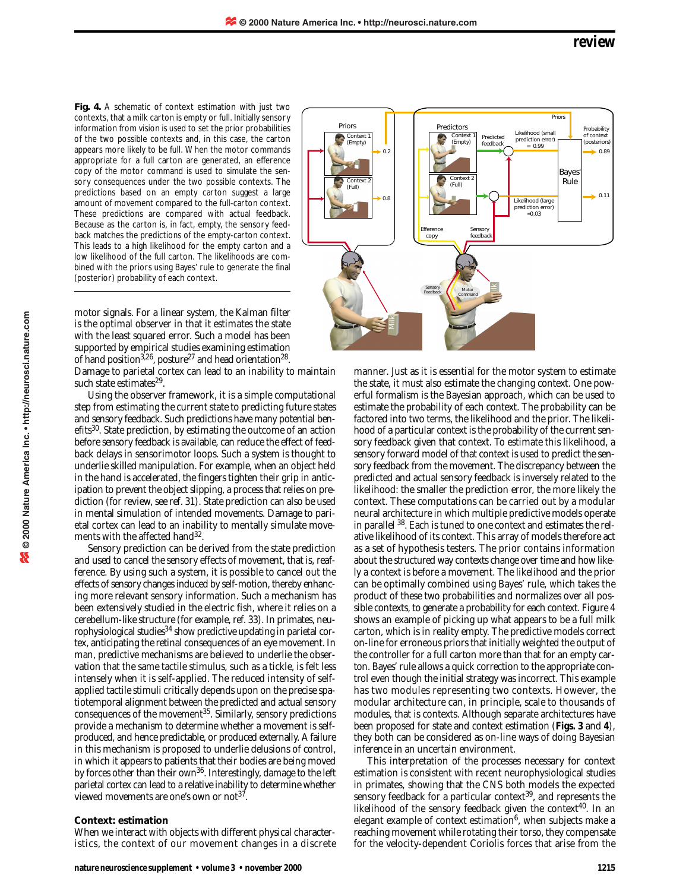*review*

**Fig. 4.** A schematic of context estimation with just two contexts, that a milk carton is empty or full. Initially sensory information from vision is used to set the prior probabilities of the two possible contexts and, in this case, the carton appears more likely to be full. When the motor commands appropriate for a full carton are generated, an efference copy of the motor command is used to simulate the sensory consequences under the two possible contexts. The predictions based on an empty carton suggest a large amount of movement compared to the full-carton context. These predictions are compared with actual feedback. Because as the carton is, in fact, empty, the sensory feedback matches the predictions of the empty-carton context. This leads to a high likelihood for the empty carton and a low likelihood of the full carton. The likelihoods are combined with the priors using Bayes' rule to generate the final (posterior) probability of each context.



Damage to parietal cortex can lead to an inability to maintain such state estimates $29$ .

Using the observer framework, it is a simple computational step from estimating the current state to predicting future states and sensory feedback. Such predictions have many potential benefits<sup>30</sup>. State prediction, by estimating the outcome of an action before sensory feedback is available, can reduce the effect of feedback delays in sensorimotor loops. Such a system is thought to underlie skilled manipulation. For example, when an object held in the hand is accelerated, the fingers tighten their grip in anticipation to prevent the object slipping, a process that relies on prediction (for review, see ref. 31). State prediction can also be used in mental simulation of intended movements. Damage to parietal cortex can lead to an inability to mentally simulate movements with the affected hand<sup>32</sup>.

Sensory prediction can be derived from the state prediction and used to cancel the sensory effects of movement, that is, reafference. By using such a system, it is possible to cancel out the effects of sensory changes induced by self-motion, thereby enhancing more relevant sensory information. Such a mechanism has been extensively studied in the electric fish, where it relies on a cerebellum-like structure (for example, ref. 33). In primates, neurophysiological studies<sup>34</sup> show predictive updating in parietal cortex, anticipating the retinal consequences of an eye movement. In man, predictive mechanisms are believed to underlie the observation that the same tactile stimulus, such as a tickle, is felt less intensely when it is self-applied. The reduced intensity of selfapplied tactile stimuli critically depends upon on the precise spatiotemporal alignment between the predicted and actual sensory consequences of the movement<sup>35</sup>. Similarly, sensory predictions provide a mechanism to determine whether a movement is selfproduced, and hence predictable, or produced externally. A failure in this mechanism is proposed to underlie delusions of control, in which it appears to patients that their bodies are being moved by forces other than their own36. Interestingly, damage to the left parietal cortex can lead to a relative inability to determine whether viewed movements are one's own or not<sup>37</sup>.

## **Context: estimation**

When we interact with objects with different physical characteristics, the context of our movement changes in a discrete



manner. Just as it is essential for the motor system to estimate the state, it must also estimate the changing context. One powerful formalism is the Bayesian approach, which can be used to estimate the probability of each context. The probability can be factored into two terms, the likelihood and the prior. The likelihood of a particular context is the probability of the current sensory feedback given that context. To estimate this likelihood, a sensory forward model of that context is used to predict the sensory feedback from the movement. The discrepancy between the predicted and actual sensory feedback is inversely related to the likelihood: the smaller the prediction error, the more likely the context. These computations can be carried out by a modular neural architecture in which multiple predictive models operate in parallel 38. Each is tuned to one context and estimates the relative likelihood of its context. This array of models therefore act as a set of hypothesis testers. The prior contains information about the structured way contexts change over time and how likely a context is before a movement. The likelihood and the prior can be optimally combined using Bayes' rule, which takes the product of these two probabilities and normalizes over all possible contexts, to generate a probability for each context. Figure 4 shows an example of picking up what appears to be a full milk carton, which is in reality empty. The predictive models correct on-line for erroneous priors that initially weighted the output of the controller for a full carton more than that for an empty carton. Bayes' rule allows a quick correction to the appropriate control even though the initial strategy was incorrect. This example has two modules representing two contexts. However, the modular architecture can, in principle, scale to thousands of modules, that is contexts. Although separate architectures have been proposed for state and context estimation (**Figs. 3** and **4**), they both can be considered as on-line ways of doing Bayesian inference in an uncertain environment.

This interpretation of the processes necessary for context estimation is consistent with recent neurophysiological studies in primates, showing that the CNS both models the expected sensory feedback for a particular context<sup>39</sup>, and represents the likelihood of the sensory feedback given the context<sup>40</sup>. In an elegant example of context estimation $6$ , when subjects make a reaching movement while rotating their torso, they compensate for the velocity-dependent Coriolis forces that arise from the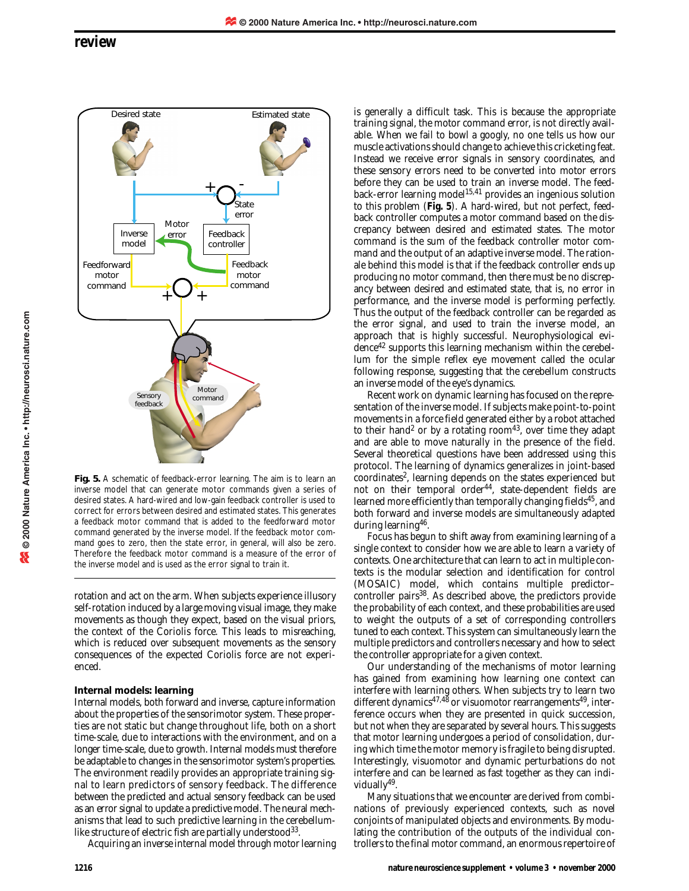

**Fig. 5.** A schematic of feedback-error learning. The aim is to learn an inverse model that can generate motor commands given a series of desired states. A hard-wired and low-gain feedback controller is used to correct for errors between desired and estimated states. This generates a feedback motor command that is added to the feedforward motor command generated by the inverse model. If the feedback motor command goes to zero, then the state error, in general, will also be zero. Therefore the feedback motor command is a measure of the error of the inverse model and is used as the error signal to train it.

rotation and act on the arm. When subjects experience illusory self-rotation induced by a large moving visual image, they make movements as though they expect, based on the visual priors, the context of the Coriolis force. This leads to misreaching, which is reduced over subsequent movements as the sensory consequences of the expected Coriolis force are not experienced.

#### **Internal models: learning**

Internal models, both forward and inverse, capture information about the properties of the sensorimotor system. These properties are not static but change throughout life, both on a short time-scale, due to interactions with the environment, and on a longer time-scale, due to growth. Internal models must therefore be adaptable to changes in the sensorimotor system's properties. The environment readily provides an appropriate training signal to learn predictors of sensory feedback. The difference between the predicted and actual sensory feedback can be used as an error signal to update a predictive model. The neural mechanisms that lead to such predictive learning in the cerebellumlike structure of electric fish are partially understood<sup>33</sup>.

Acquiring an inverse internal model through motor learning

is generally a difficult task. This is because the appropriate training signal, the motor command error, is not directly available. When we fail to bowl a googly, no one tells us how our muscle activations should change to achieve this cricketing feat. Instead we receive error signals in sensory coordinates, and these sensory errors need to be converted into motor errors before they can be used to train an inverse model. The feedback-error learning model<sup>15,41</sup> provides an ingenious solution to this problem (**Fig. 5**). A hard-wired, but not perfect, feedback controller computes a motor command based on the discrepancy between desired and estimated states. The motor command is the sum of the feedback controller motor command and the output of an adaptive inverse model. The rationale behind this model is that if the feedback controller ends up producing no motor command, then there must be no discrepancy between desired and estimated state, that is, no error in performance, and the inverse model is performing perfectly. Thus the output of the feedback controller can be regarded as the error signal, and used to train the inverse model, an approach that is highly successful. Neurophysiological evidence<sup>42</sup> supports this learning mechanism within the cerebellum for the simple reflex eye movement called the ocular following response, suggesting that the cerebellum constructs an inverse model of the eye's dynamics.

Recent work on dynamic learning has focused on the representation of the inverse model. If subjects make point-to-point movements in a force field generated either by a robot attached to their hand<sup>2</sup> or by a rotating room<sup>43</sup>, over time they adapt and are able to move naturally in the presence of the field. Several theoretical questions have been addressed using this protocol. The learning of dynamics generalizes in joint-based coordinates2, learning depends on the states experienced but not on their temporal order<sup>44</sup>, state-dependent fields are learned more efficiently than temporally changing fields<sup>45</sup>, and both forward and inverse models are simultaneously adapted during learning46.

Focus has begun to shift away from examining learning of a single context to consider how we are able to learn a variety of contexts. One architecture that can learn to act in multiple contexts is the modular selection and identification for control (MOSAIC) model, which contains multiple predictor– controller pairs<sup>38</sup>. As described above, the predictors provide the probability of each context, and these probabilities are used to weight the outputs of a set of corresponding controllers tuned to each context. This system can simultaneously learn the multiple predictors and controllers necessary and how to select the controller appropriate for a given context.

Our understanding of the mechanisms of motor learning has gained from examining how learning one context can interfere with learning others. When subjects try to learn two different dynamics<sup>47,48</sup> or visuomotor rearrangements<sup>49</sup>, interference occurs when they are presented in quick succession, but not when they are separated by several hours. This suggests that motor learning undergoes a period of consolidation, during which time the motor memory is fragile to being disrupted. Interestingly, visuomotor and dynamic perturbations do not interfere and can be learned as fast together as they can individually<sup>49</sup>.

Many situations that we encounter are derived from combinations of previously experienced contexts, such as novel conjoints of manipulated objects and environments. By modulating the contribution of the outputs of the individual controllers to the final motor command, an enormous repertoire of